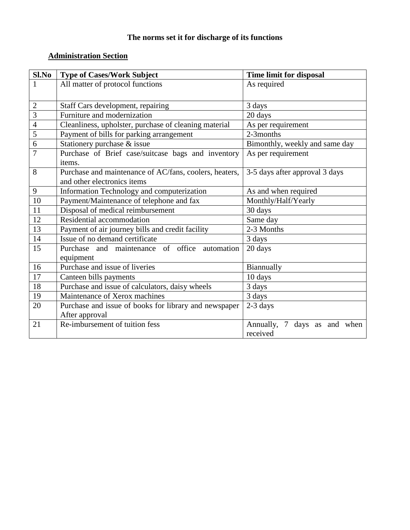# **The norms set it for discharge of its functions**

# **Administration Section**

| Sl.No          | <b>Type of Cases/Work Subject</b>                      | Time limit for disposal         |
|----------------|--------------------------------------------------------|---------------------------------|
| 1              | All matter of protocol functions                       | As required                     |
|                |                                                        |                                 |
| $\sqrt{2}$     | Staff Cars development, repairing                      | 3 days                          |
| $\overline{3}$ | Furniture and modernization                            | 20 days                         |
| $\overline{4}$ | Cleanliness, upholster, purchase of cleaning material  | As per requirement              |
| 5              | Payment of bills for parking arrangement               | 2-3months                       |
| $\overline{6}$ | Stationery purchase & issue                            | Bimonthly, weekly and same day  |
| $\overline{7}$ | Purchase of Brief case/suitcase bags and inventory     | As per requirement              |
|                | items.                                                 |                                 |
| 8              | Purchase and maintenance of AC/fans, coolers, heaters, | 3-5 days after approval 3 days  |
|                | and other electronics items                            |                                 |
| 9              | Information Technology and computerization             | As and when required            |
| 10             | Payment/Maintenance of telephone and fax               | Monthly/Half/Yearly             |
| 11             | Disposal of medical reimbursement                      | 30 days                         |
| 12             | Residential accommodation                              | Same day                        |
| 13             | Payment of air journey bills and credit facility       | 2-3 Months                      |
| 14             | Issue of no demand certificate                         | 3 days                          |
| 15             | Purchase and maintenance of office automation          | 20 days                         |
|                | equipment                                              |                                 |
| 16             | Purchase and issue of liveries                         | Biannually                      |
| 17             | Canteen bills payments                                 | 10 days                         |
| 18             | Purchase and issue of calculators, daisy wheels        | 3 days                          |
| 19             | Maintenance of Xerox machines                          | 3 days                          |
| 20             | Purchase and issue of books for library and newspaper  | 2-3 days                        |
|                | After approval                                         |                                 |
| 21             | Re-imbursement of tuition fess                         | Annually, 7<br>days as and when |
|                |                                                        | received                        |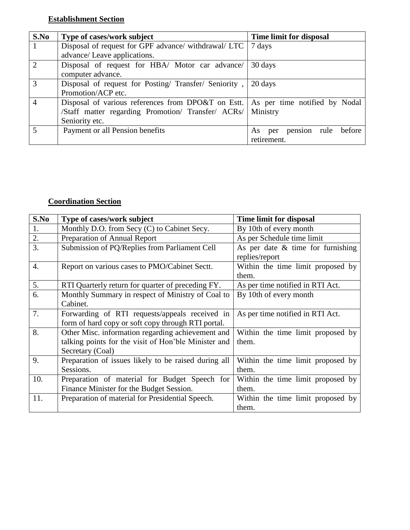## **Establishment Section**

| S.No           | Type of cases/work subject                            | Time limit for disposal             |
|----------------|-------------------------------------------------------|-------------------------------------|
| 1              | Disposal of request for GPF advance/ withdrawal/ LTC  | 7 days                              |
|                | advance/ Leave applications.                          |                                     |
| 2              | Disposal of request for HBA/ Motor car advance/       | 30 days                             |
|                | computer advance.                                     |                                     |
| 3              | Disposal of request for Posting/ Transfer/ Seniority, | 20 days                             |
|                | Promotion/ACP etc.                                    |                                     |
| $\overline{4}$ | Disposal of various references from DPO&T on Estt.    | As per time notified by Nodal       |
|                | /Staff matter regarding Promotion/ Transfer/ ACRs/    | Ministry                            |
|                | Seniority etc.                                        |                                     |
| 5              | Payment or all Pension benefits                       | pension rule<br>before<br>per<br>As |
|                |                                                       | retirement.                         |

## **Coordination Section**

| S.No             | Type of cases/work subject                           | Time limit for disposal              |
|------------------|------------------------------------------------------|--------------------------------------|
| 1.               | Monthly D.O. from Secy (C) to Cabinet Secy.          | By 10th of every month               |
| 2.               | Preparation of Annual Report                         | As per Schedule time limit           |
| 3.               | Submission of PQ/Replies from Parliament Cell        | As per date $\&$ time for furnishing |
|                  |                                                      | replies/report                       |
| $\overline{4}$ . | Report on various cases to PMO/Cabinet Sectt.        | Within the time limit proposed by    |
|                  |                                                      | them.                                |
| 5.               | RTI Quarterly return for quarter of preceding FY.    | As per time notified in RTI Act.     |
| 6.               | Monthly Summary in respect of Ministry of Coal to    | By 10th of every month               |
|                  | Cabinet.                                             |                                      |
| 7.               | Forwarding of RTI requests/appeals received in       | As per time notified in RTI Act.     |
|                  | form of hard copy or soft copy through RTI portal.   |                                      |
| 8.               | Other Misc. information regarding achievement and    | Within the time limit proposed by    |
|                  | talking points for the visit of Hon'ble Minister and | them.                                |
|                  | Secretary (Coal)                                     |                                      |
| 9.               | Preparation of issues likely to be raised during all | Within the time limit proposed by    |
|                  | Sessions.                                            | them.                                |
| 10.              | Preparation of material for Budget Speech for        | Within the time limit proposed by    |
|                  | Finance Minister for the Budget Session.             | them.                                |
| 11.              | Preparation of material for Presidential Speech.     | Within the time limit proposed by    |
|                  |                                                      | them.                                |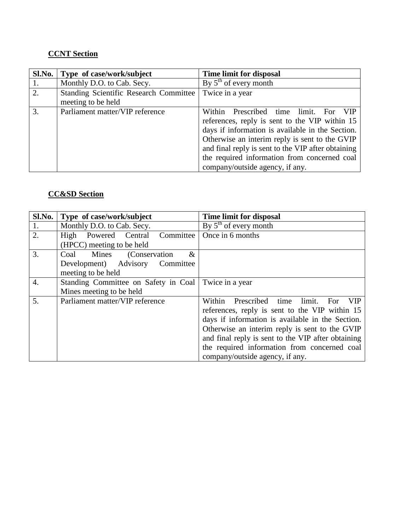## **CCNT Section**

| Sl.No. | Type of case/work/subject                                    | Time limit for disposal                                                                                                                                                                                                                                                                                                                        |
|--------|--------------------------------------------------------------|------------------------------------------------------------------------------------------------------------------------------------------------------------------------------------------------------------------------------------------------------------------------------------------------------------------------------------------------|
|        | Monthly D.O. to Cab. Secy.                                   | By $5th$ of every month                                                                                                                                                                                                                                                                                                                        |
| 2.     | Standing Scientific Research Committee<br>meeting to be held | Twice in a year                                                                                                                                                                                                                                                                                                                                |
| 3.     | Parliament matter/VIP reference                              | Within Prescribed time limit.<br>– VIP<br>For<br>references, reply is sent to the VIP within 15<br>days if information is available in the Section.<br>Otherwise an interim reply is sent to the GVIP<br>and final reply is sent to the VIP after obtaining<br>the required information from concerned coal<br>company/outside agency, if any. |

## **CC&SD Section**

| Sl.No.           | Type of case/work/subject            | Time limit for disposal                                         |
|------------------|--------------------------------------|-----------------------------------------------------------------|
| 1.               | Monthly D.O. to Cab. Secy.           | By $5th$ of every month                                         |
| 2.               | High Powered Central Committee       | Once in 6 months                                                |
|                  | (HPCC) meeting to be held            |                                                                 |
| 3.               | Coal Mines<br>(Conservation)<br>$\&$ |                                                                 |
|                  | Development) Advisory Committee      |                                                                 |
|                  | meeting to be held                   |                                                                 |
| $\overline{4}$ . | Standing Committee on Safety in Coal | Twice in a year                                                 |
|                  | Mines meeting to be held             |                                                                 |
| 5.               | Parliament matter/VIP reference      | limit.<br>Prescribed time<br>Within<br><b>For</b><br><b>VIP</b> |
|                  |                                      | references, reply is sent to the VIP within 15                  |
|                  |                                      | days if information is available in the Section.                |
|                  |                                      | Otherwise an interim reply is sent to the GVIP                  |
|                  |                                      | and final reply is sent to the VIP after obtaining              |
|                  |                                      | the required information from concerned coal                    |
|                  |                                      | company/outside agency, if any.                                 |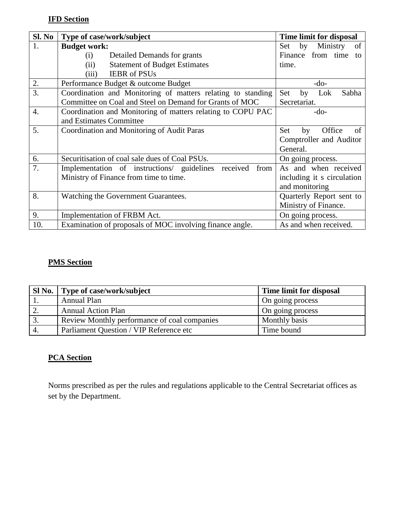## **IFD Section**

| Sl. No           | Type of case/work/subject                                      | Time limit for disposal     |
|------------------|----------------------------------------------------------------|-----------------------------|
| 1.               | <b>Budget work:</b>                                            | Ministry<br>by<br>of<br>Set |
|                  | Detailed Demands for grants<br>(i)                             | Finance from time<br>to     |
|                  | <b>Statement of Budget Estimates</b><br>(ii)                   | time.                       |
|                  | <b>IEBR</b> of PSUs<br>(iii)                                   |                             |
| 2.               | Performance Budget & outcome Budget                            | $-do-$                      |
| 3.               | Coordination and Monitoring of matters relating to standing    | Set<br>Sabha<br>by<br>Lok   |
|                  | Committee on Coal and Steel on Demand for Grants of MOC        | Secretariat.                |
| $\overline{4}$ . | Coordination and Monitoring of matters relating to COPU PAC    | $-do-$                      |
|                  | and Estimates Committee                                        |                             |
| 5.               | Coordination and Monitoring of Audit Paras                     | Office<br>Set<br>by<br>of   |
|                  |                                                                | Comptroller and Auditor     |
|                  |                                                                | General.                    |
| 6.               | Securitisation of coal sale dues of Coal PSUs.                 | On going process.           |
| 7.               | received<br>Implementation of instructions/ guidelines<br>from | As and when received        |
|                  | Ministry of Finance from time to time.                         | including it s circulation  |
|                  |                                                                | and monitoring              |
| 8.               | Watching the Government Guarantees.                            | Quarterly Report sent to    |
|                  |                                                                | Ministry of Finance.        |
| 9.               | Implementation of FRBM Act.                                    | On going process.           |
| 10.              | Examination of proposals of MOC involving finance angle.       | As and when received.       |

## **PMS Section**

|                  | Sl No.   Type of case/work/subject           | Time limit for disposal |
|------------------|----------------------------------------------|-------------------------|
|                  | <b>Annual Plan</b>                           | On going process        |
| $\overline{2}$ . | <b>Annual Action Plan</b>                    | On going process        |
|                  | Review Monthly performance of coal companies | Monthly basis           |
| $\overline{4}$ . | Parliament Question / VIP Reference etc      | Time bound              |

## **PCA Section**

Norms prescribed as per the rules and regulations applicable to the Central Secretariat offices as set by the Department.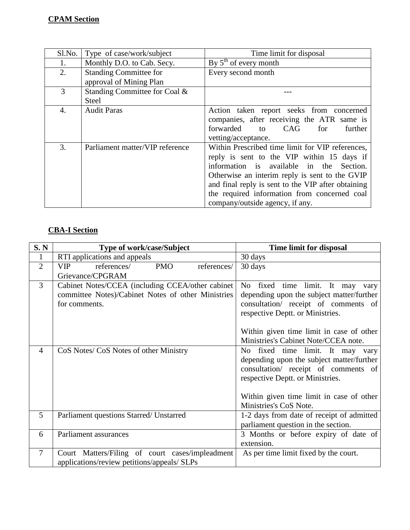| Sl.No. | Type of case/work/subject                                | Time limit for disposal                                                                                                                                                                                                                                                                                                               |
|--------|----------------------------------------------------------|---------------------------------------------------------------------------------------------------------------------------------------------------------------------------------------------------------------------------------------------------------------------------------------------------------------------------------------|
| 1.     | Monthly D.O. to Cab. Secy.                               | By $5th$ of every month                                                                                                                                                                                                                                                                                                               |
| 2.     | <b>Standing Committee for</b><br>approval of Mining Plan | Every second month                                                                                                                                                                                                                                                                                                                    |
| 3      | Standing Committee for Coal &<br><b>Steel</b>            |                                                                                                                                                                                                                                                                                                                                       |
| 4.     | <b>Audit Paras</b>                                       | Action taken report seeks from concerned<br>companies, after receiving the ATR same is<br>forwarded<br>CAG<br>further<br>to<br>for<br>vetting/acceptance.                                                                                                                                                                             |
| 3.     | Parliament matter/VIP reference                          | Within Prescribed time limit for VIP references,<br>reply is sent to the VIP within 15 days if<br>information is available in the Section.<br>Otherwise an interim reply is sent to the GVIP<br>and final reply is sent to the VIP after obtaining<br>the required information from concerned coal<br>company/outside agency, if any. |

# **CBA-I Section**

| S. N           | <b>Type of work/case/Subject</b>                       | Time limit for disposal                   |
|----------------|--------------------------------------------------------|-------------------------------------------|
| $\mathbf{1}$   | RTI applications and appeals                           | 30 days                                   |
| $\overline{2}$ | references/<br><b>PMO</b><br>references/<br><b>VIP</b> | 30 days                                   |
|                | Grievance/CPGRAM                                       |                                           |
| 3              | Cabinet Notes/CCEA (including CCEA/other cabinet       | time limit. It may<br>No<br>fixed<br>varv |
|                | committee Notes)/Cabinet Notes of other Ministries     | depending upon the subject matter/further |
|                | for comments.                                          | consultation/ receipt of comments of      |
|                |                                                        | respective Deptt. or Ministries.          |
|                |                                                        |                                           |
|                |                                                        | Within given time limit in case of other  |
|                |                                                        | Ministries's Cabinet Note/CCEA note.      |
| $\overline{4}$ | CoS Notes/ CoS Notes of other Ministry                 | No fixed time limit. It may vary          |
|                |                                                        | depending upon the subject matter/further |
|                |                                                        | consultation/ receipt of comments of      |
|                |                                                        | respective Deptt. or Ministries.          |
|                |                                                        |                                           |
|                |                                                        | Within given time limit in case of other  |
|                |                                                        | Ministries's CoS Note.                    |
| 5              | Parliament questions Starred/ Unstarred                | 1-2 days from date of receipt of admitted |
|                |                                                        | parliament question in the section.       |
| 6              | Parliament assurances                                  | 3 Months or before expiry of date of      |
|                |                                                        | extension.                                |
| $\overline{7}$ | Court Matters/Filing of court cases/impleadment        | As per time limit fixed by the court.     |
|                | applications/review petitions/appeals/ SLPs            |                                           |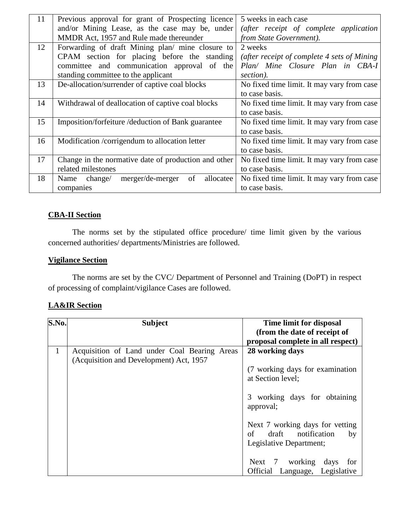| 11 | Previous approval for grant of Prospecting licence     | 5 weeks in each case                         |
|----|--------------------------------------------------------|----------------------------------------------|
|    | and/or Mining Lease, as the case may be, under         | (after receipt of complete application       |
|    | MMDR Act, 1957 and Rule made thereunder                | from State Government).                      |
| 12 | Forwarding of draft Mining plan/ mine closure to       | 2 weeks                                      |
|    | CPAM section for placing before the standing           | (after receipt of complete 4 sets of Mining) |
|    | committee and communication approval of the            | Plan/ Mine Closure Plan in CBA-I             |
|    | standing committee to the applicant                    | section).                                    |
| 13 | De-allocation/surrender of captive coal blocks         | No fixed time limit. It may vary from case   |
|    |                                                        | to case basis.                               |
| 14 | Withdrawal of deallocation of captive coal blocks      | No fixed time limit. It may vary from case   |
|    |                                                        | to case basis.                               |
| 15 | Imposition/forfeiture/deduction of Bank guarantee      | No fixed time limit. It may vary from case   |
|    |                                                        | to case basis.                               |
| 16 | Modification /corrigendum to allocation letter         | No fixed time limit. It may vary from case   |
|    |                                                        | to case basis.                               |
| 17 | Change in the normative date of production and other   | No fixed time limit. It may vary from case   |
|    | related milestones                                     | to case basis.                               |
| 18 | merger/de-merger<br>of<br>allocatee<br>Name<br>change/ | No fixed time limit. It may vary from case   |
|    | companies                                              | to case basis.                               |

### **CBA-II Section**

The norms set by the stipulated office procedure/ time limit given by the various concerned authorities/ departments/Ministries are followed.

#### **Vigilance Section**

The norms are set by the CVC/ Department of Personnel and Training (DoPT) in respect of processing of complaint/vigilance Cases are followed.

### **LA&IR Section**

| S.No.        | <b>Subject</b>                               | Time limit for disposal           |
|--------------|----------------------------------------------|-----------------------------------|
|              |                                              | (from the date of receipt of      |
|              |                                              | proposal complete in all respect) |
| $\mathbf{1}$ | Acquisition of Land under Coal Bearing Areas | 28 working days                   |
|              | (Acquisition and Development) Act, 1957      |                                   |
|              |                                              | (7 working days for examination)  |
|              |                                              | at Section level;                 |
|              |                                              |                                   |
|              |                                              | 3 working days for obtaining      |
|              |                                              | approval;                         |
|              |                                              |                                   |
|              |                                              | Next 7 working days for vetting   |
|              |                                              | of<br>draft notification<br>by    |
|              |                                              | Legislative Department;           |
|              |                                              |                                   |
|              |                                              | Next 7 working days<br>for        |
|              |                                              |                                   |
|              |                                              | Official Language, Legislative    |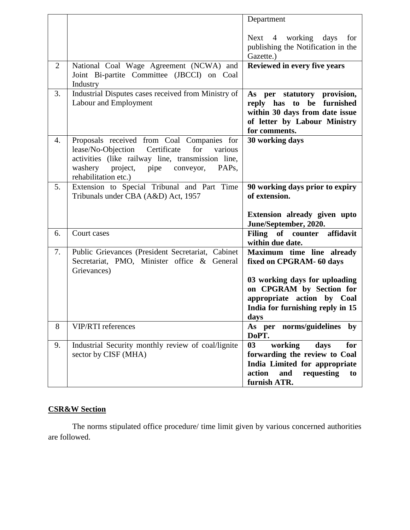|                |                                                                                                                                                                                                                                                  | Department                                                                                                                                                                                   |
|----------------|--------------------------------------------------------------------------------------------------------------------------------------------------------------------------------------------------------------------------------------------------|----------------------------------------------------------------------------------------------------------------------------------------------------------------------------------------------|
|                |                                                                                                                                                                                                                                                  | Next 4 working days<br>for<br>publishing the Notification in the<br>Gazette.)                                                                                                                |
| $\overline{2}$ | National Coal Wage Agreement (NCWA) and<br>Joint Bi-partite Committee (JBCCI) on Coal<br>Industry                                                                                                                                                | Reviewed in every five years                                                                                                                                                                 |
| 3.             | Industrial Disputes cases received from Ministry of<br>Labour and Employment                                                                                                                                                                     | As per statutory provision,<br>reply<br>has<br>to<br>be<br>furnished<br>within 30 days from date issue<br>of letter by Labour Ministry<br>for comments.                                      |
| 4.             | Proposals received from Coal Companies for<br>lease/No-Objection<br>Certificate<br>for<br>various<br>activities (like railway line, transmission line,<br>washery<br>project,<br>conveyor,<br>PAP <sub>s</sub> ,<br>pipe<br>rehabilitation etc.) | 30 working days                                                                                                                                                                              |
| 5.             | Extension to Special Tribunal and Part Time<br>Tribunals under CBA (A&D) Act, 1957                                                                                                                                                               | 90 working days prior to expiry<br>of extension.<br>Extension already given upto<br>June/September, 2020.                                                                                    |
| 6.             | Court cases                                                                                                                                                                                                                                      | Filing of counter affidavit<br>within due date.                                                                                                                                              |
| 7.             | Public Grievances (President Secretariat, Cabinet<br>Secretariat, PMO, Minister office & General<br>Grievances)                                                                                                                                  | Maximum time line already<br>fixed on CPGRAM- 60 days<br>03 working days for uploading<br>on CPGRAM by Section for<br>appropriate action by Coal<br>India for furnishing reply in 15<br>days |
| 8              | VIP/RTI references                                                                                                                                                                                                                               | norms/guidelines<br>As per<br>by<br>DoPT.                                                                                                                                                    |
| 9.             | Industrial Security monthly review of coal/lignite<br>sector by CISF (MHA)                                                                                                                                                                       | 03<br>working<br>days<br>for<br>forwarding the review to Coal<br>India Limited for appropriate<br>action<br>requesting<br>and<br>to<br>furnish ATR.                                          |

# **CSR&W Section**

The norms stipulated office procedure/ time limit given by various concerned authorities are followed.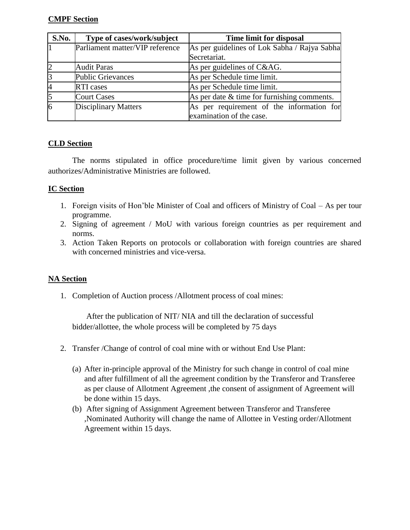### **CMPF Section**

| S.No. | Type of cases/work/subject      | Time limit for disposal                       |
|-------|---------------------------------|-----------------------------------------------|
|       | Parliament matter/VIP reference | As per guidelines of Lok Sabha / Rajya Sabha  |
|       |                                 | Secretariat.                                  |
|       | <b>Audit Paras</b>              | As per guidelines of C&AG.                    |
|       | <b>Public Grievances</b>        | As per Schedule time limit.                   |
|       | <b>RTI</b> cases                | As per Schedule time limit.                   |
|       | <b>Court Cases</b>              | As per date $&$ time for furnishing comments. |
| 16    | <b>Disciplinary Matters</b>     | As per requirement of the information for     |
|       |                                 | examination of the case.                      |

### **CLD Section**

The norms stipulated in office procedure/time limit given by various concerned authorizes/Administrative Ministries are followed.

### **IC Section**

- 1. Foreign visits of Hon'ble Minister of Coal and officers of Ministry of Coal As per tour programme.
- 2. Signing of agreement / MoU with various foreign countries as per requirement and norms.
- 3. Action Taken Reports on protocols or collaboration with foreign countries are shared with concerned ministries and vice-versa.

### **NA Section**

1. Completion of Auction process /Allotment process of coal mines:

 After the publication of NIT/ NIA and till the declaration of successful bidder/allottee, the whole process will be completed by 75 days

- 2. Transfer /Change of control of coal mine with or without End Use Plant:
	- (a) After in-principle approval of the Ministry for such change in control of coal mine and after fulfillment of all the agreement condition by the Transferor and Transferee as per clause of Allotment Agreement ,the consent of assignment of Agreement will be done within 15 days.
	- (b) After signing of Assignment Agreement between Transferor and Transferee ,Nominated Authority will change the name of Allottee in Vesting order/Allotment Agreement within 15 days.